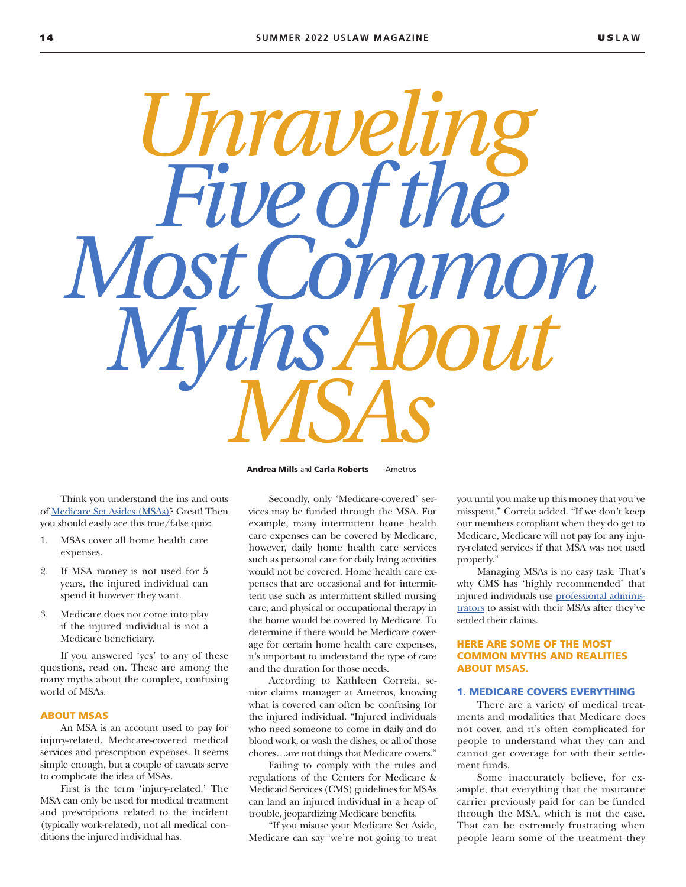

Think you understand the ins and outs of [Medicare Set Asides \(MSAs\)?](https://bit.ly/medicare-set-asides) Great! Then you should easily ace this true/false quiz:

- 1. MSAs cover all home health care expenses.
- 2. If MSA money is not used for 5 years, the injured individual can spend it however they want.
- 3. Medicare does not come into play if the injured individual is not a Medicare beneficiary.

If you answered 'yes' to any of these questions, read on. These are among the many myths about the complex, confusing world of MSAs.

#### ABOUT MSAS

An MSA is an account used to pay for injury-related, Medicare-covered medical services and prescription expenses. It seems simple enough, but a couple of caveats serve to complicate the idea of MSAs.

First is the term 'injury-related.' The MSA can only be used for medical treatment and prescriptions related to the incident (typically work-related), not all medical conditions the injured individual has.

Secondly, only 'Medicare-covered' services may be funded through the MSA. For example, many intermittent home health care expenses can be covered by Medicare, however, daily home health care services such as personal care for daily living activities would not be covered. Home health care expenses that are occasional and for intermittent use such as intermittent skilled nursing care, and physical or occupational therapy in the home would be covered by Medicare. To determine if there would be Medicare coverage for certain home health care expenses, it's important to understand the type of care and the duration for those needs.

According to Kathleen Correia, senior claims manager at Ametros, knowing what is covered can often be confusing for the injured individual. "Injured individuals who need someone to come in daily and do blood work, or wash the dishes, or all of those chores…are not things that Medicare covers."

Failing to comply with the rules and regulations of the Centers for Medicare & Medicaid Services (CMS) guidelines for MSAs can land an injured individual in a heap of trouble, jeopardizing Medicare benefits.

"If you misuse your Medicare Set Aside, Medicare can say 'we're not going to treat you until you make up this money that you've misspent," Correia added. "If we don't keep our members compliant when they do get to Medicare, Medicare will not pay for any injury-related services if that MSA was not used properly."

Managing MSAs is no easy task. That's why CMS has 'highly recommended' that injured individuals use [professional adminis](https://bit.ly/professional-administration)[trators](https://bit.ly/professional-administration) to assist with their MSAs after they've settled their claims.

### HERE ARE SOME OF THE MOST COMMON MYTHS AND REALITIES ABOUT MSAS.

#### 1. MEDICARE COVERS EVERYTHING

There are a variety of medical treatments and modalities that Medicare does not cover, and it's often complicated for people to understand what they can and cannot get coverage for with their settlement funds.

Some inaccurately believe, for example, that everything that the insurance carrier previously paid for can be funded through the MSA, which is not the case. That can be extremely frustrating when people learn some of the treatment they